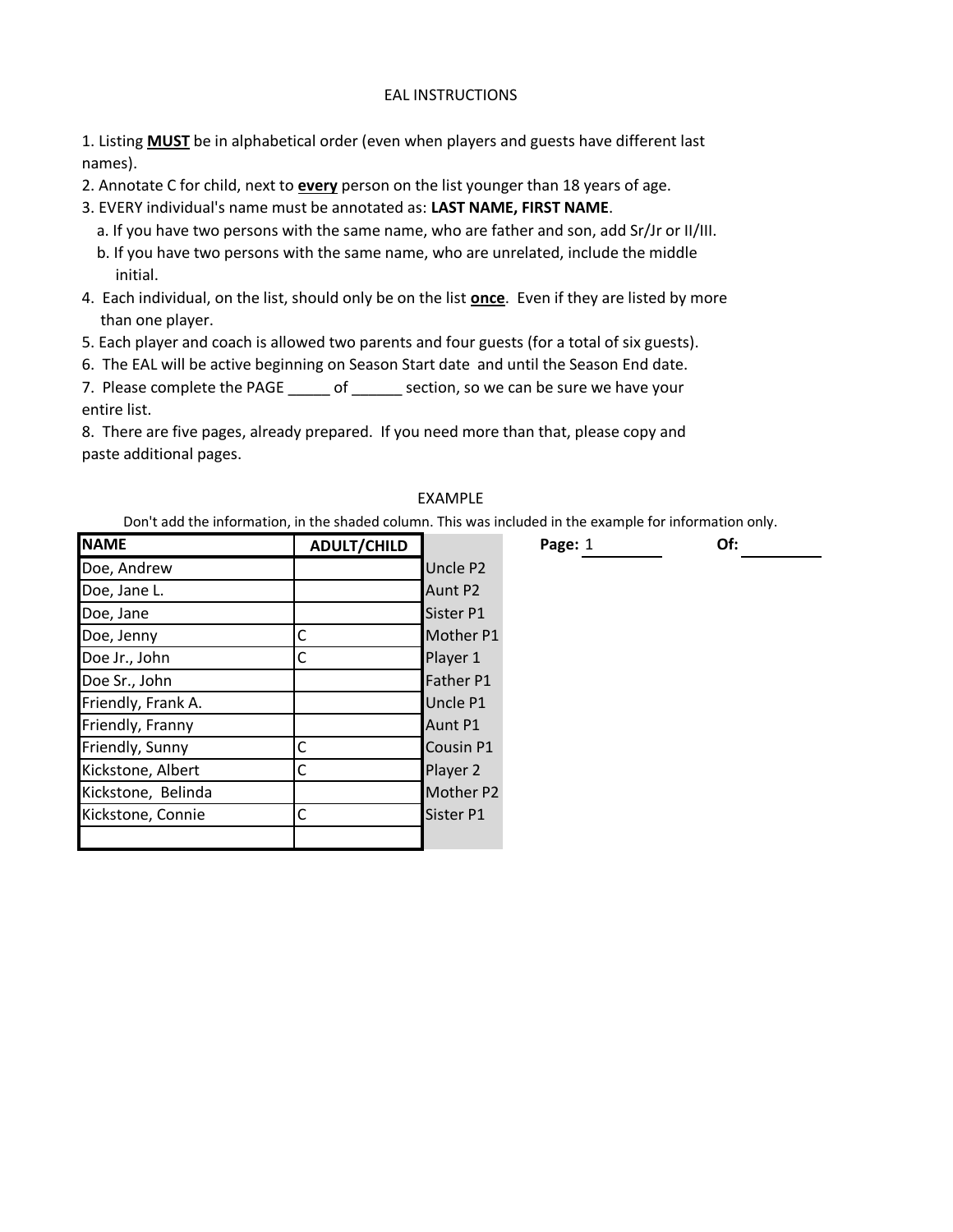## EAL INSTRUCTIONS

1. Listing **MUST** be in alphabetical order (even when players and guests have different last names).

- 2. Annotate C for child, next to **every** person on the list younger than 18 years of age.
- 3. EVERY individual's name must be annotated as: **LAST NAME, FIRST NAME**.
	- a. If you have two persons with the same name, who are father and son, add Sr/Jr or II/III.
	- b. If you have two persons with the same name, who are unrelated, include the middle initial.
- 4. Each individual, on the list, should only be on the list **once**. Even if they are listed by more than one player.
- 5. Each player and coach is allowed two parents and four guests (for a total of six guests).
- 6. The EAL will be active beginning on Season Start date and until the Season End date.

7. Please complete the PAGE \_\_\_\_\_\_ of \_\_\_\_\_\_ section, so we can be sure we have your entire list.

8. There are five pages, already prepared. If you need more than that, please copy and paste additional pages.

## EXAMPLE

Don't add the information, in the shaded column. This was included in the example for information only.

| <b>NAME</b>        | <b>ADULT/CHILD</b> |                  | Page: 1 | Of: |
|--------------------|--------------------|------------------|---------|-----|
| Doe, Andrew        |                    | Uncle P2         |         |     |
| Doe, Jane L.       |                    | Aunt P2          |         |     |
| Doe, Jane          |                    | Sister P1        |         |     |
| Doe, Jenny         | С                  | Mother P1        |         |     |
| Doe Jr., John      | C                  | Player 1         |         |     |
| Doe Sr., John      |                    | Father P1        |         |     |
| Friendly, Frank A. |                    | Uncle P1         |         |     |
| Friendly, Franny   |                    | Aunt P1          |         |     |
| Friendly, Sunny    | C                  | <b>Cousin P1</b> |         |     |
| Kickstone, Albert  | С                  | Player 2         |         |     |
| Kickstone, Belinda |                    | Mother P2        |         |     |
| Kickstone, Connie  | С                  | <b>Sister P1</b> |         |     |
|                    |                    |                  |         |     |